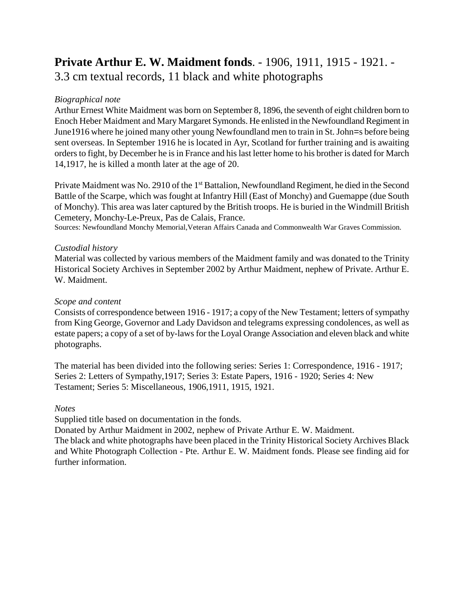# **Private Arthur E. W. Maidment fonds**. - 1906, 1911, 1915 - 1921. - 3.3 cm textual records, 11 black and white photographs

## *Biographical note*

Arthur Ernest White Maidment was born on September 8, 1896, the seventh of eight children born to Enoch Heber Maidment and Mary Margaret Symonds. He enlisted in the Newfoundland Regiment in June1916 where he joined many other young Newfoundland men to train in St. John=s before being sent overseas. In September 1916 he is located in Ayr, Scotland for further training and is awaiting orders to fight, by December he is in France and his last letter home to his brother is dated for March 14,1917, he is killed a month later at the age of 20.

Private Maidment was No. 2910 of the 1<sup>st</sup> Battalion, Newfoundland Regiment, he died in the Second Battle of the Scarpe, which was fought at Infantry Hill (East of Monchy) and Guemappe (due South of Monchy). This area was later captured by the British troops. He is buried in the Windmill British Cemetery, Monchy-Le-Preux, Pas de Calais, France.

Sources: Newfoundland Monchy Memorial,Veteran Affairs Canada and Commonwealth War Graves Commission.

## *Custodial history*

Material was collected by various members of the Maidment family and was donated to the Trinity Historical Society Archives in September 2002 by Arthur Maidment, nephew of Private. Arthur E. W. Maidment.

## *Scope and content*

Consists of correspondence between 1916 - 1917; a copy of the New Testament; letters of sympathy from King George, Governor and Lady Davidson and telegrams expressing condolences, as well as estate papers; a copy of a set of by-laws for the Loyal Orange Association and eleven black and white photographs.

The material has been divided into the following series: Series 1: Correspondence, 1916 - 1917; Series 2: Letters of Sympathy,1917; Series 3: Estate Papers, 1916 - 1920; Series 4: New Testament; Series 5: Miscellaneous, 1906,1911, 1915, 1921.

## *Notes*

Supplied title based on documentation in the fonds.

Donated by Arthur Maidment in 2002, nephew of Private Arthur E. W. Maidment.

The black and white photographs have been placed in the Trinity Historical Society Archives Black and White Photograph Collection - Pte. Arthur E. W. Maidment fonds. Please see finding aid for further information.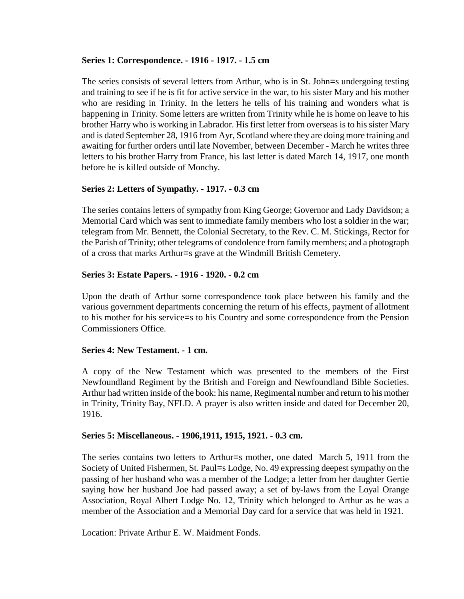## **Series 1: Correspondence. - 1916 - 1917. - 1.5 cm**

The series consists of several letters from Arthur, who is in St. John=s undergoing testing and training to see if he is fit for active service in the war, to his sister Mary and his mother who are residing in Trinity. In the letters he tells of his training and wonders what is happening in Trinity. Some letters are written from Trinity while he is home on leave to his brother Harry who is working in Labrador. His first letter from overseas is to his sister Mary and is dated September 28, 1916 from Ayr, Scotland where they are doing more training and awaiting for further orders until late November, between December - March he writes three letters to his brother Harry from France, his last letter is dated March 14, 1917, one month before he is killed outside of Monchy.

# **Series 2: Letters of Sympathy. - 1917. - 0.3 cm**

The series contains letters of sympathy from King George; Governor and Lady Davidson; a Memorial Card which was sent to immediate family members who lost a soldier in the war; telegram from Mr. Bennett, the Colonial Secretary, to the Rev. C. M. Stickings, Rector for the Parish of Trinity; other telegrams of condolence from family members; and a photograph of a cross that marks Arthur=s grave at the Windmill British Cemetery.

## **Series 3: Estate Papers. - 1916 - 1920. - 0.2 cm**

Upon the death of Arthur some correspondence took place between his family and the various government departments concerning the return of his effects, payment of allotment to his mother for his service=s to his Country and some correspondence from the Pension Commissioners Office.

## **Series 4: New Testament. - 1 cm.**

A copy of the New Testament which was presented to the members of the First Newfoundland Regiment by the British and Foreign and Newfoundland Bible Societies. Arthur had written inside of the book: his name, Regimental number and return to his mother in Trinity, Trinity Bay, NFLD. A prayer is also written inside and dated for December 20, 1916.

## **Series 5: Miscellaneous. - 1906,1911, 1915, 1921. - 0.3 cm.**

The series contains two letters to Arthur=s mother, one dated March 5, 1911 from the Society of United Fishermen, St. Paul=s Lodge, No. 49 expressing deepest sympathy on the passing of her husband who was a member of the Lodge; a letter from her daughter Gertie saying how her husband Joe had passed away; a set of by-laws from the Loyal Orange Association, Royal Albert Lodge No. 12, Trinity which belonged to Arthur as he was a member of the Association and a Memorial Day card for a service that was held in 1921.

Location: Private Arthur E. W. Maidment Fonds.